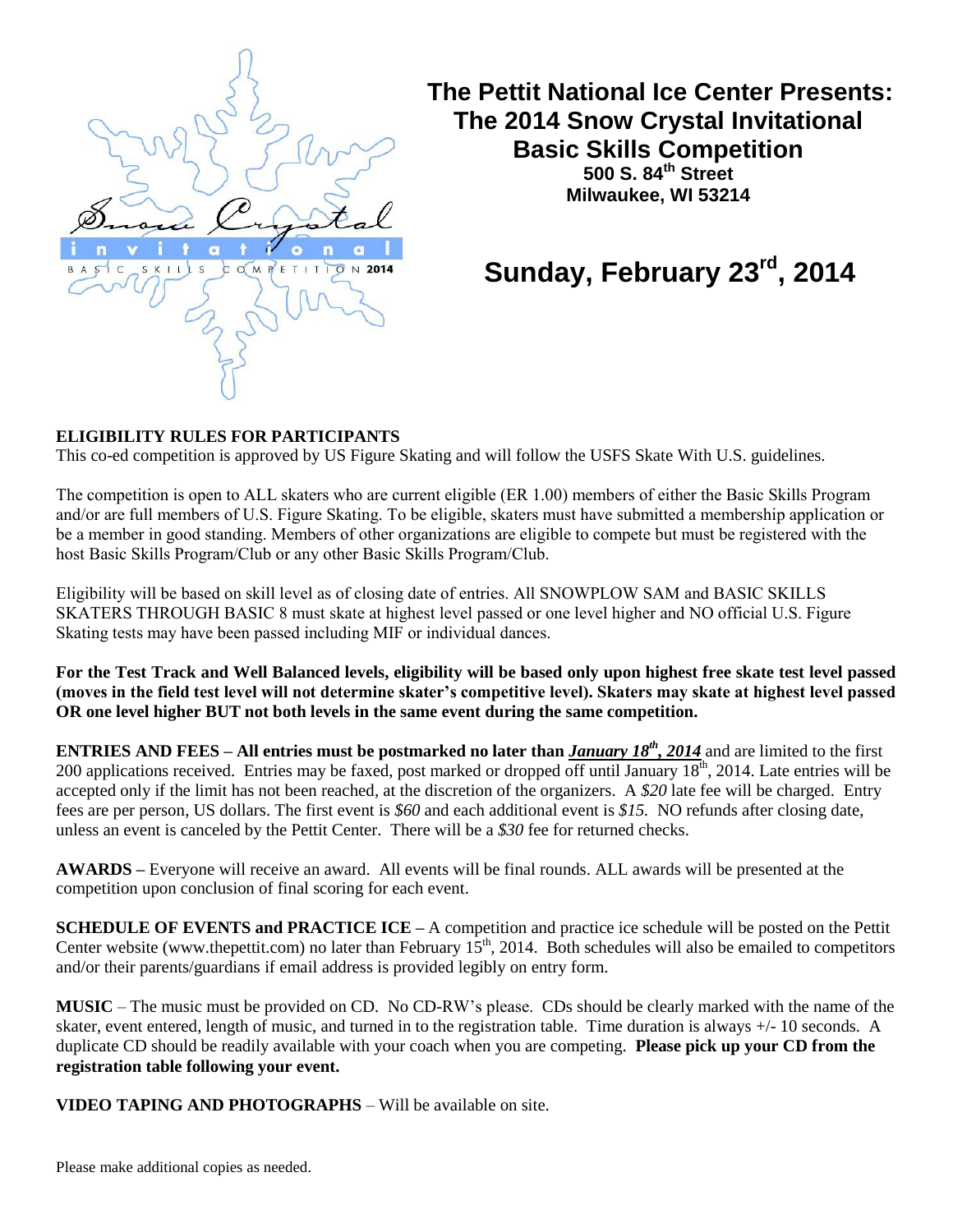

**The Pettit National Ice Center Presents: The 2014 Snow Crystal Invitational Basic Skills Competition 500 S. 84th Street Milwaukee, WI 53214**

# Sunday, February 23<sup>rd</sup>, 2014

#### **ELIGIBILITY RULES FOR PARTICIPANTS**

This co-ed competition is approved by US Figure Skating and will follow the USFS Skate With U.S. guidelines.

The competition is open to ALL skaters who are current eligible (ER 1.00) members of either the Basic Skills Program and/or are full members of U.S. Figure Skating. To be eligible, skaters must have submitted a membership application or be a member in good standing. Members of other organizations are eligible to compete but must be registered with the host Basic Skills Program/Club or any other Basic Skills Program/Club.

Eligibility will be based on skill level as of closing date of entries. All SNOWPLOW SAM and BASIC SKILLS SKATERS THROUGH BASIC 8 must skate at highest level passed or one level higher and NO official U.S. Figure Skating tests may have been passed including MIF or individual dances.

**For the Test Track and Well Balanced levels, eligibility will be based only upon highest free skate test level passed (moves in the field test level will not determine skater's competitive level). Skaters may skate at highest level passed OR one level higher BUT not both levels in the same event during the same competition.**

**ENTRIES AND FEES** – All entries must be postmarked no later than *January 18<sup>th</sup>*, 2014 and are limited to the first 200 applications received. Entries may be faxed, post marked or dropped off until January 18<sup>th</sup>, 2014. Late entries will be accepted only if the limit has not been reached, at the discretion of the organizers. A *\$20* late fee will be charged. Entry fees are per person, US dollars. The first event is *\$60* and each additional event is *\$15.* NO refunds after closing date, unless an event is canceled by the Pettit Center. There will be a *\$30* fee for returned checks.

**AWARDS –** Everyone will receive an award. All events will be final rounds. ALL awards will be presented at the competition upon conclusion of final scoring for each event.

**SCHEDULE OF EVENTS and PRACTICE ICE –** A competition and practice ice schedule will be posted on the Pettit Center website (www.thepettit.com) no later than February  $15<sup>th</sup>$ , 2014. Both schedules will also be emailed to competitors and/or their parents/guardians if email address is provided legibly on entry form.

**MUSIC** – The music must be provided on CD. No CD-RW's please. CDs should be clearly marked with the name of the skater, event entered, length of music, and turned in to the registration table. Time duration is always +/- 10 seconds. A duplicate CD should be readily available with your coach when you are competing. **Please pick up your CD from the registration table following your event.**

**VIDEO TAPING AND PHOTOGRAPHS** – Will be available on site.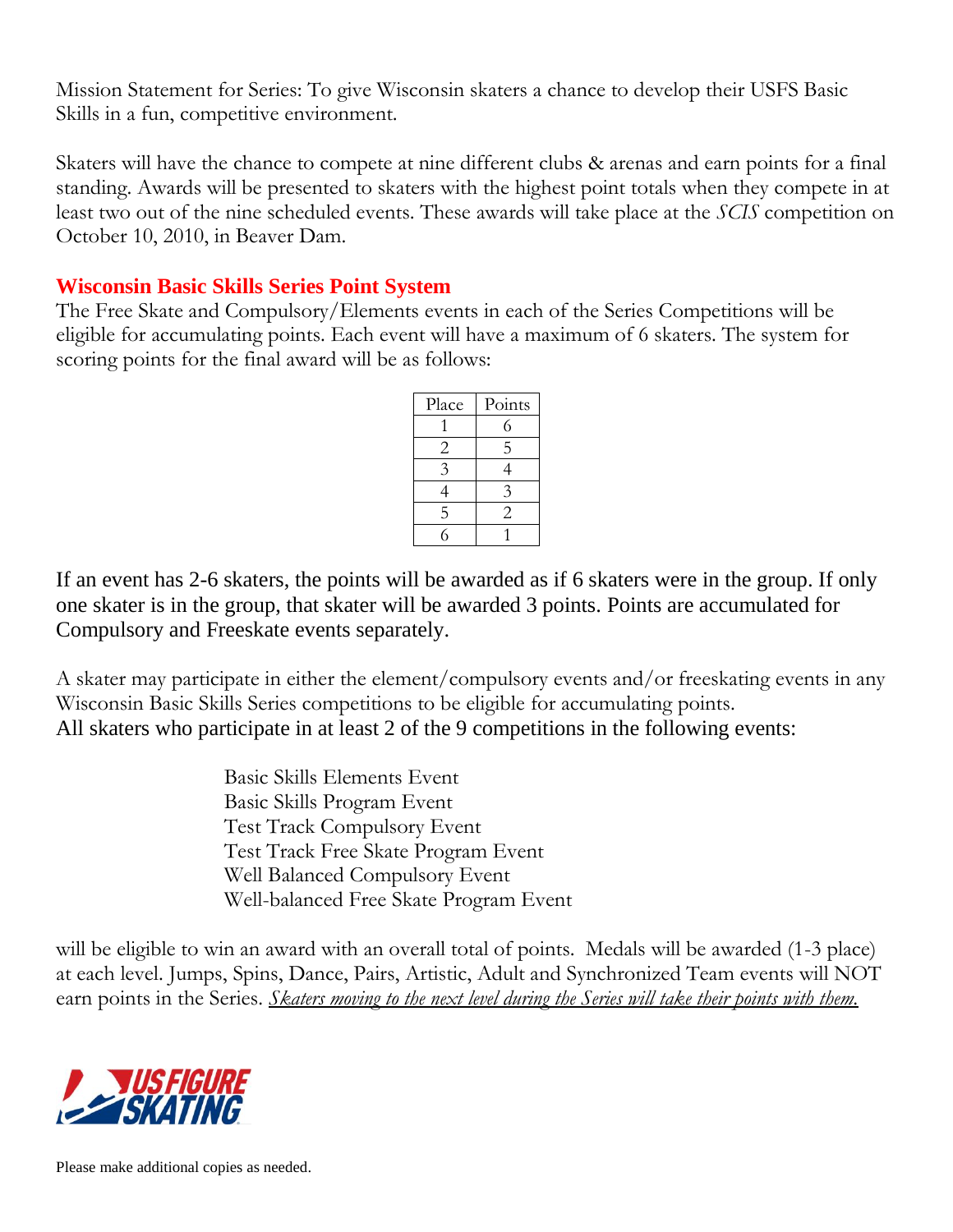Mission Statement for Series: To give Wisconsin skaters a chance to develop their USFS Basic Skills in a fun, competitive environment.

Skaters will have the chance to compete at nine different clubs & arenas and earn points for a final standing. Awards will be presented to skaters with the highest point totals when they compete in at least two out of the nine scheduled events. These awards will take place at the *SCIS* competition on October 10, 2010, in Beaver Dam.

### **Wisconsin Basic Skills Series Point System**

The Free Skate and Compulsory/Elements events in each of the Series Competitions will be eligible for accumulating points. Each event will have a maximum of 6 skaters. The system for scoring points for the final award will be as follows:

| Place | Points         |
|-------|----------------|
|       | 6              |
| 2     | 5              |
| 3     |                |
| 4     | 3              |
| 5     | $\overline{c}$ |
|       |                |

If an event has 2-6 skaters, the points will be awarded as if 6 skaters were in the group. If only one skater is in the group, that skater will be awarded 3 points. Points are accumulated for Compulsory and Freeskate events separately.

A skater may participate in either the element/compulsory events and/or freeskating events in any Wisconsin Basic Skills Series competitions to be eligible for accumulating points. All skaters who participate in at least 2 of the 9 competitions in the following events:

> Basic Skills Elements Event Basic Skills Program Event Test Track Compulsory Event Test Track Free Skate Program Event Well Balanced Compulsory Event Well-balanced Free Skate Program Event

will be eligible to win an award with an overall total of points. Medals will be awarded (1-3 place) at each level. Jumps, Spins, Dance, Pairs, Artistic, Adult and Synchronized Team events will NOT earn points in the Series. *Skaters moving to the next level during the Series will take their points with them.* 

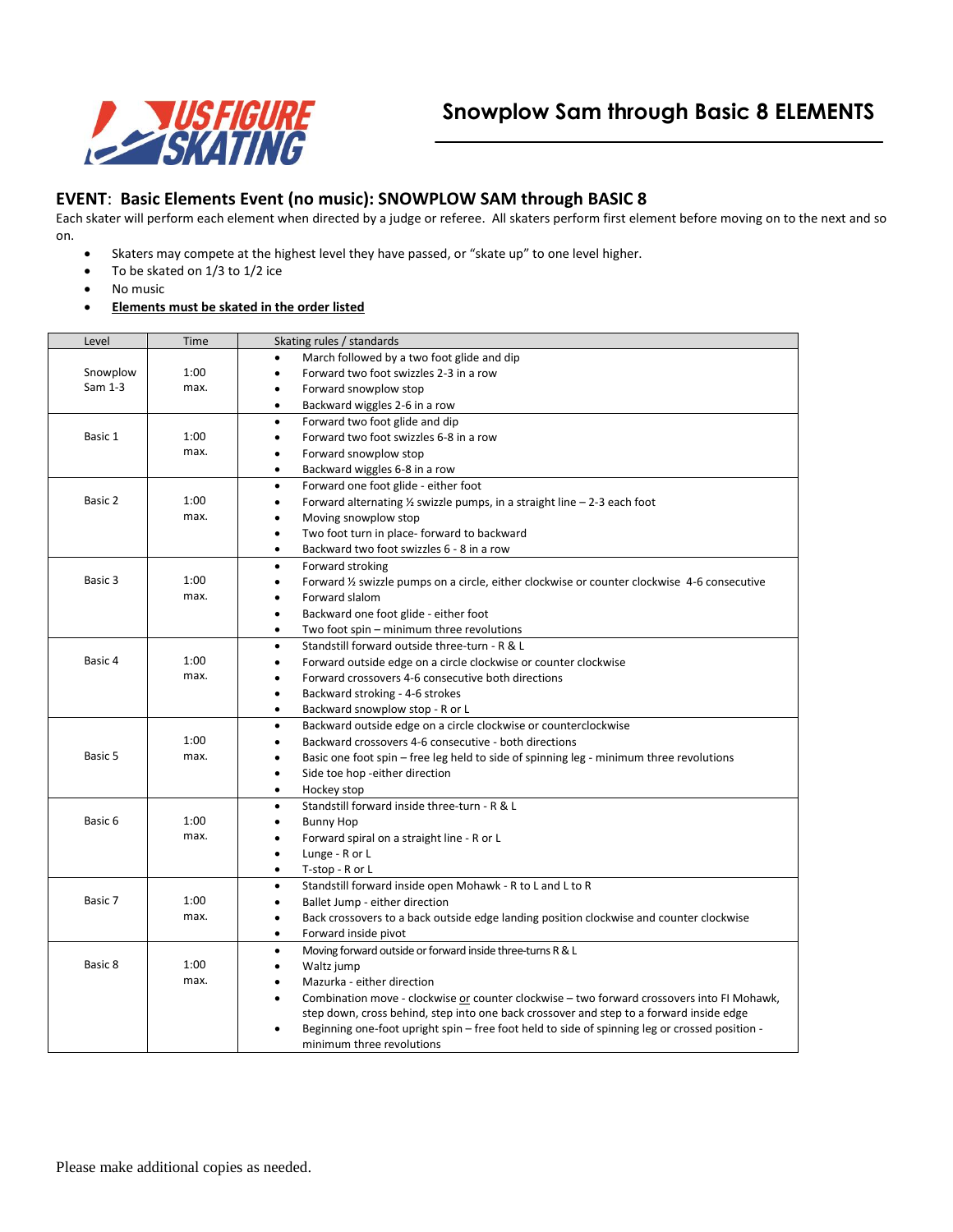

#### **EVENT**: **Basic Elements Event (no music): SNOWPLOW SAM through BASIC 8**

Each skater will perform each element when directed by a judge or referee. All skaters perform first element before moving on to the next and so on.

- Skaters may compete at the highest level they have passed, or "skate up" to one level higher.
- To be skated on 1/3 to 1/2 ice
- No music
- **Elements must be skated in the order listed**

| Level    | Time | Skating rules / standards                                                                                   |  |  |
|----------|------|-------------------------------------------------------------------------------------------------------------|--|--|
|          |      | March followed by a two foot glide and dip<br>$\bullet$                                                     |  |  |
| Snowplow | 1:00 | Forward two foot swizzles 2-3 in a row<br>$\bullet$                                                         |  |  |
| Sam 1-3  | max. | Forward snowplow stop<br>$\bullet$                                                                          |  |  |
|          |      | Backward wiggles 2-6 in a row<br>$\bullet$                                                                  |  |  |
|          |      | Forward two foot glide and dip<br>٠                                                                         |  |  |
| Basic 1  | 1:00 | Forward two foot swizzles 6-8 in a row<br>$\bullet$                                                         |  |  |
|          | max. | Forward snowplow stop<br>٠                                                                                  |  |  |
|          |      | Backward wiggles 6-8 in a row<br>$\bullet$                                                                  |  |  |
|          |      | Forward one foot glide - either foot<br>$\bullet$                                                           |  |  |
| Basic 2  | 1:00 | Forward alternating $\frac{1}{2}$ swizzle pumps, in a straight line $-$ 2-3 each foot<br>$\bullet$          |  |  |
|          | max. | Moving snowplow stop<br>$\bullet$                                                                           |  |  |
|          |      | Two foot turn in place- forward to backward<br>$\bullet$                                                    |  |  |
|          |      | Backward two foot swizzles 6 - 8 in a row<br>٠                                                              |  |  |
|          |      | Forward stroking<br>$\bullet$                                                                               |  |  |
| Basic 3  | 1:00 | Forward 1/2 swizzle pumps on a circle, either clockwise or counter clockwise 4-6 consecutive<br>$\bullet$   |  |  |
|          | max. | Forward slalom<br>$\bullet$                                                                                 |  |  |
|          |      | Backward one foot glide - either foot<br>$\bullet$                                                          |  |  |
|          |      | Two foot spin – minimum three revolutions<br>$\bullet$                                                      |  |  |
|          |      | Standstill forward outside three-turn - R & L<br>$\bullet$                                                  |  |  |
| Basic 4  | 1:00 | Forward outside edge on a circle clockwise or counter clockwise<br>$\bullet$                                |  |  |
|          | max. | Forward crossovers 4-6 consecutive both directions<br>$\bullet$                                             |  |  |
|          |      | Backward stroking - 4-6 strokes<br>٠                                                                        |  |  |
|          |      | Backward snowplow stop - R or L<br>$\bullet$                                                                |  |  |
|          |      | Backward outside edge on a circle clockwise or counterclockwise<br>$\bullet$                                |  |  |
|          | 1:00 | Backward crossovers 4-6 consecutive - both directions<br>$\bullet$                                          |  |  |
| Basic 5  | max. | Basic one foot spin - free leg held to side of spinning leg - minimum three revolutions<br>$\bullet$        |  |  |
|          |      | Side toe hop -either direction<br>$\bullet$                                                                 |  |  |
|          |      | Hockey stop<br>٠                                                                                            |  |  |
|          |      | Standstill forward inside three-turn - R & L<br>$\bullet$                                                   |  |  |
| Basic 6  | 1:00 | <b>Bunny Hop</b><br>$\bullet$                                                                               |  |  |
|          | max. | Forward spiral on a straight line - R or L<br>$\bullet$                                                     |  |  |
|          |      | Lunge - R or L<br>$\bullet$                                                                                 |  |  |
|          |      | T-stop - R or L<br>$\bullet$                                                                                |  |  |
|          |      | Standstill forward inside open Mohawk - R to L and L to R<br>$\bullet$                                      |  |  |
| Basic 7  | 1:00 | Ballet Jump - either direction<br>$\bullet$                                                                 |  |  |
|          | max. | Back crossovers to a back outside edge landing position clockwise and counter clockwise<br>$\bullet$        |  |  |
|          |      | Forward inside pivot<br>$\bullet$                                                                           |  |  |
|          |      | Moving forward outside or forward inside three-turns R & L<br>$\bullet$                                     |  |  |
| Basic 8  | 1:00 | Waltz jump<br>$\bullet$                                                                                     |  |  |
|          | max. | Mazurka - either direction<br>٠                                                                             |  |  |
|          |      | Combination move - clockwise or counter clockwise - two forward crossovers into FI Mohawk,<br>$\bullet$     |  |  |
|          |      | step down, cross behind, step into one back crossover and step to a forward inside edge                     |  |  |
|          |      | Beginning one-foot upright spin – free foot held to side of spinning leg or crossed position -<br>$\bullet$ |  |  |
|          |      | minimum three revolutions                                                                                   |  |  |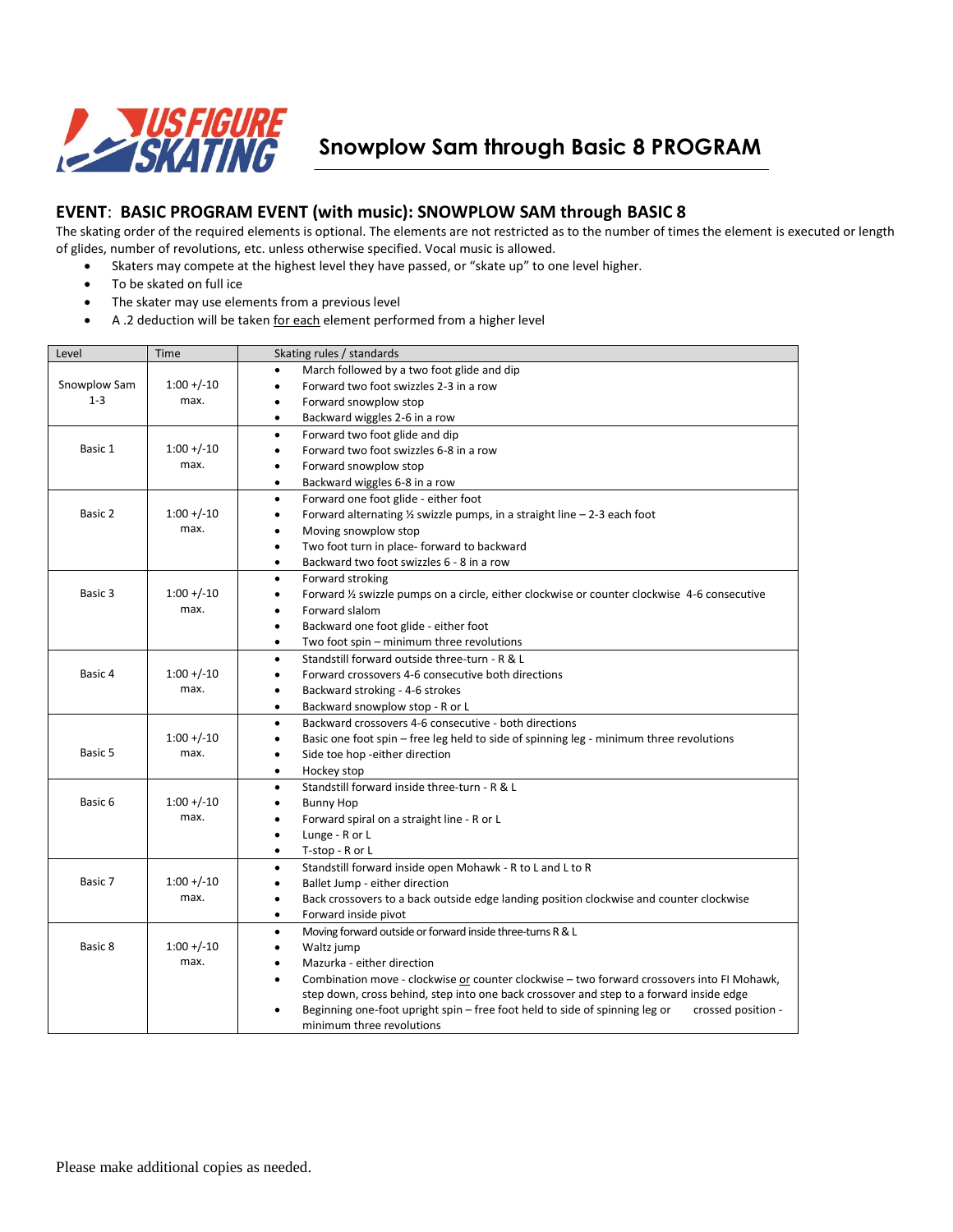

**Snowplow Sam through Basic 8 PROGRAM**

#### **EVENT**: **BASIC PROGRAM EVENT (with music): SNOWPLOW SAM through BASIC 8**

The skating order of the required elements is optional. The elements are not restricted as to the number of times the element is executed or length of glides, number of revolutions, etc. unless otherwise specified. Vocal music is allowed.

- Skaters may compete at the highest level they have passed, or "skate up" to one level higher.
- To be skated on full ice
- The skater may use elements from a previous level
- A .2 deduction will be taken for each element performed from a higher level

| Level        | Time           | Skating rules / standards                                                                                                                   |  |
|--------------|----------------|---------------------------------------------------------------------------------------------------------------------------------------------|--|
|              |                | March followed by a two foot glide and dip<br>٠                                                                                             |  |
| Snowplow Sam | $1:00 + (-10)$ | Forward two foot swizzles 2-3 in a row<br>$\bullet$                                                                                         |  |
| $1 - 3$      | max.           | Forward snowplow stop<br>٠                                                                                                                  |  |
|              |                | Backward wiggles 2-6 in a row<br>$\bullet$                                                                                                  |  |
|              |                | Forward two foot glide and dip<br>$\bullet$                                                                                                 |  |
| Basic 1      | $1:00 + (-10)$ | Forward two foot swizzles 6-8 in a row<br>$\bullet$                                                                                         |  |
|              | max.           | Forward snowplow stop<br>$\bullet$                                                                                                          |  |
|              |                | Backward wiggles 6-8 in a row<br>$\bullet$                                                                                                  |  |
|              |                | Forward one foot glide - either foot<br>٠                                                                                                   |  |
| Basic 2      | $1:00 + (-10)$ | Forward alternating $\frac{1}{2}$ swizzle pumps, in a straight line $-2-3$ each foot<br>٠                                                   |  |
|              | max.           | Moving snowplow stop<br>$\bullet$                                                                                                           |  |
|              |                | Two foot turn in place- forward to backward<br>$\bullet$                                                                                    |  |
|              |                | Backward two foot swizzles 6 - 8 in a row<br>$\bullet$                                                                                      |  |
|              |                | Forward stroking<br>$\bullet$                                                                                                               |  |
| Basic 3      | $1:00 + (-10)$ | Forward 1/2 swizzle pumps on a circle, either clockwise or counter clockwise 4-6 consecutive<br>٠                                           |  |
|              | max.           | Forward slalom<br>$\bullet$                                                                                                                 |  |
|              |                | Backward one foot glide - either foot<br>$\bullet$                                                                                          |  |
|              |                | Two foot spin - minimum three revolutions<br>$\bullet$                                                                                      |  |
|              |                | Standstill forward outside three-turn - R & L<br>$\bullet$                                                                                  |  |
| Basic 4      | $1:00 + (-10)$ | Forward crossovers 4-6 consecutive both directions<br>$\bullet$                                                                             |  |
|              | max.           | Backward stroking - 4-6 strokes<br>$\bullet$                                                                                                |  |
|              |                | Backward snowplow stop - R or L<br>٠                                                                                                        |  |
|              |                | Backward crossovers 4-6 consecutive - both directions<br>٠                                                                                  |  |
|              | $1:00 + (-10)$ | Basic one foot spin - free leg held to side of spinning leg - minimum three revolutions<br>$\bullet$                                        |  |
| Basic 5      | max.           | Side toe hop -either direction<br>٠                                                                                                         |  |
|              |                | Hockey stop<br>$\bullet$                                                                                                                    |  |
|              |                | Standstill forward inside three-turn - R & L<br>٠                                                                                           |  |
| Basic 6      | $1:00 + (-10)$ | <b>Bunny Hop</b><br>٠                                                                                                                       |  |
|              | max.           | Forward spiral on a straight line - R or L<br>٠                                                                                             |  |
|              |                | Lunge - R or L<br>٠                                                                                                                         |  |
|              |                | T-stop - R or L<br>$\bullet$                                                                                                                |  |
|              |                | Standstill forward inside open Mohawk - R to L and L to R<br>٠                                                                              |  |
| Basic 7      | $1:00 + (-10)$ | Ballet Jump - either direction<br>٠                                                                                                         |  |
|              | max.           | Back crossovers to a back outside edge landing position clockwise and counter clockwise<br>$\bullet$                                        |  |
|              |                | Forward inside pivot<br>٠                                                                                                                   |  |
|              |                | Moving forward outside or forward inside three-turns R & L<br>$\bullet$                                                                     |  |
| Basic 8      | $1:00 + (-10)$ | Waltz jump<br>٠                                                                                                                             |  |
|              | max.           | Mazurka - either direction<br>$\bullet$                                                                                                     |  |
|              |                | Combination move - clockwise or counter clockwise - two forward crossovers into FI Mohawk,<br>$\bullet$                                     |  |
|              |                | step down, cross behind, step into one back crossover and step to a forward inside edge                                                     |  |
|              |                | Beginning one-foot upright spin - free foot held to side of spinning leg or<br>crossed position -<br>$\bullet$<br>minimum three revolutions |  |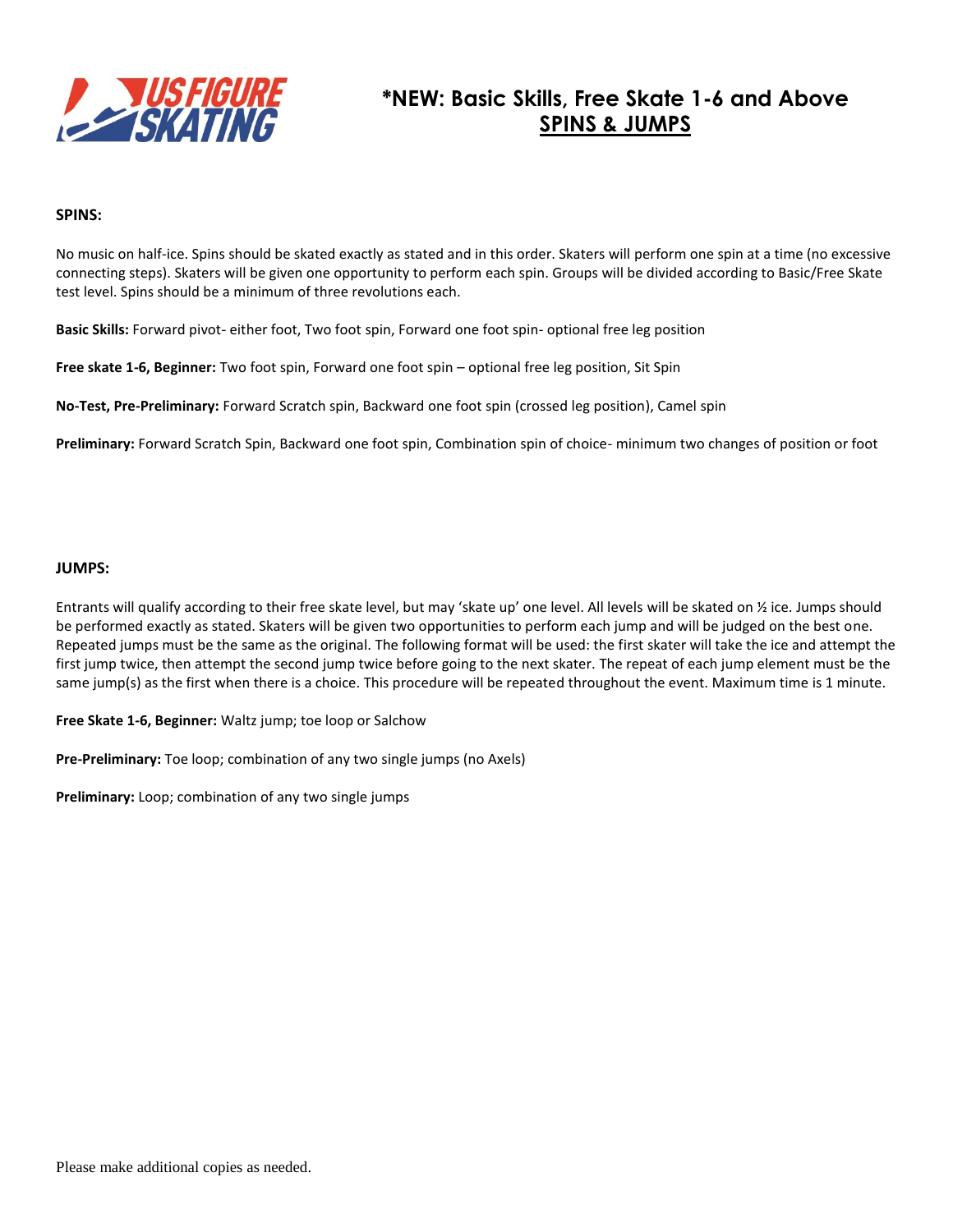

### **\*NEW: Basic Skills, Free Skate 1-6 and Above SPINS & JUMPS**

#### **SPINS:**

No music on half-ice. Spins should be skated exactly as stated and in this order. Skaters will perform one spin at a time (no excessive connecting steps). Skaters will be given one opportunity to perform each spin. Groups will be divided according to Basic/Free Skate test level. Spins should be a minimum of three revolutions each.

**Basic Skills:** Forward pivot- either foot, Two foot spin, Forward one foot spin- optional free leg position

**Free skate 1-6, Beginner:** Two foot spin, Forward one foot spin – optional free leg position, Sit Spin

**No-Test, Pre-Preliminary:** Forward Scratch spin, Backward one foot spin (crossed leg position), Camel spin

**Preliminary:** Forward Scratch Spin, Backward one foot spin, Combination spin of choice- minimum two changes of position or foot

#### **JUMPS:**

Entrants will qualify according to their free skate level, but may 'skate up' one level. All levels will be skated on ½ ice. Jumps should be performed exactly as stated. Skaters will be given two opportunities to perform each jump and will be judged on the best one. Repeated jumps must be the same as the original. The following format will be used: the first skater will take the ice and attempt the first jump twice, then attempt the second jump twice before going to the next skater. The repeat of each jump element must be the same jump(s) as the first when there is a choice. This procedure will be repeated throughout the event. Maximum time is 1 minute.

**Free Skate 1-6, Beginner:** Waltz jump; toe loop or Salchow

**Pre-Preliminary:** Toe loop; combination of any two single jumps (no Axels)

**Preliminary:** Loop; combination of any two single jumps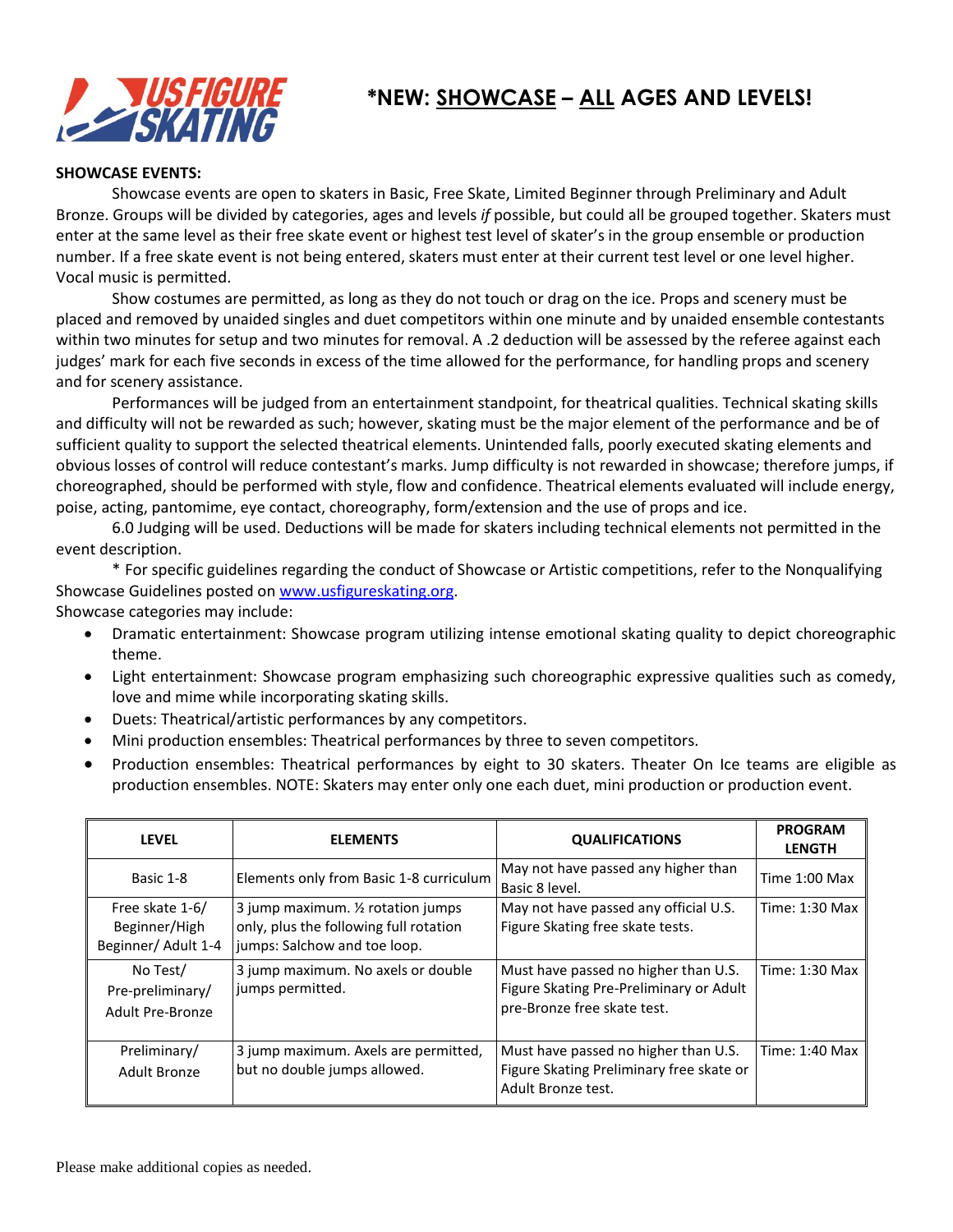

# **\*NEW: SHOWCASE – ALL AGES AND LEVELS!**

#### **SHOWCASE EVENTS:**

Showcase events are open to skaters in Basic, Free Skate, Limited Beginner through Preliminary and Adult Bronze. Groups will be divided by categories, ages and levels *if* possible, but could all be grouped together. Skaters must enter at the same level as their free skate event or highest test level of skater's in the group ensemble or production number. If a free skate event is not being entered, skaters must enter at their current test level or one level higher. Vocal music is permitted.

Show costumes are permitted, as long as they do not touch or drag on the ice. Props and scenery must be placed and removed by unaided singles and duet competitors within one minute and by unaided ensemble contestants within two minutes for setup and two minutes for removal. A .2 deduction will be assessed by the referee against each judges' mark for each five seconds in excess of the time allowed for the performance, for handling props and scenery and for scenery assistance.

Performances will be judged from an entertainment standpoint, for theatrical qualities. Technical skating skills and difficulty will not be rewarded as such; however, skating must be the major element of the performance and be of sufficient quality to support the selected theatrical elements. Unintended falls, poorly executed skating elements and obvious losses of control will reduce contestant's marks. Jump difficulty is not rewarded in showcase; therefore jumps, if choreographed, should be performed with style, flow and confidence. Theatrical elements evaluated will include energy, poise, acting, pantomime, eye contact, choreography, form/extension and the use of props and ice.

6.0 Judging will be used. Deductions will be made for skaters including technical elements not permitted in the event description.

\* For specific guidelines regarding the conduct of Showcase or Artistic competitions, refer to the Nonqualifying Showcase Guidelines posted o[n www.usfigureskating.org.](http://www.usfigureskating.org/)

Showcase categories may include:

- Dramatic entertainment: Showcase program utilizing intense emotional skating quality to depict choreographic theme.
- Light entertainment: Showcase program emphasizing such choreographic expressive qualities such as comedy, love and mime while incorporating skating skills.
- Duets: Theatrical/artistic performances by any competitors.
- Mini production ensembles: Theatrical performances by three to seven competitors.
- Production ensembles: Theatrical performances by eight to 30 skaters. Theater On Ice teams are eligible as production ensembles. NOTE: Skaters may enter only one each duet, mini production or production event.

| <b>LEVEL</b>                                            | <b>ELEMENTS</b>                                                                                              | <b>QUALIFICATIONS</b>                                                                                          | <b>PROGRAM</b><br><b>LENGTH</b> |
|---------------------------------------------------------|--------------------------------------------------------------------------------------------------------------|----------------------------------------------------------------------------------------------------------------|---------------------------------|
| Basic 1-8                                               | Elements only from Basic 1-8 curriculum                                                                      | May not have passed any higher than<br>Basic 8 level.                                                          | Time 1:00 Max                   |
| Free skate 1-6/<br>Beginner/High<br>Beginner/ Adult 1-4 | 3 jump maximum. 1/2 rotation jumps<br>only, plus the following full rotation<br>jumps: Salchow and toe loop. | May not have passed any official U.S.<br>Figure Skating free skate tests.                                      | Time: 1:30 Max                  |
| No Test/<br>Pre-preliminary/<br>Adult Pre-Bronze        | 3 jump maximum. No axels or double<br>jumps permitted.                                                       | Must have passed no higher than U.S.<br>Figure Skating Pre-Preliminary or Adult<br>pre-Bronze free skate test. | Time: 1:30 Max                  |
| Preliminary/<br>Adult Bronze                            | 3 jump maximum. Axels are permitted,<br>but no double jumps allowed.                                         | Must have passed no higher than U.S.<br>Figure Skating Preliminary free skate or<br>Adult Bronze test.         | Time: 1:40 Max                  |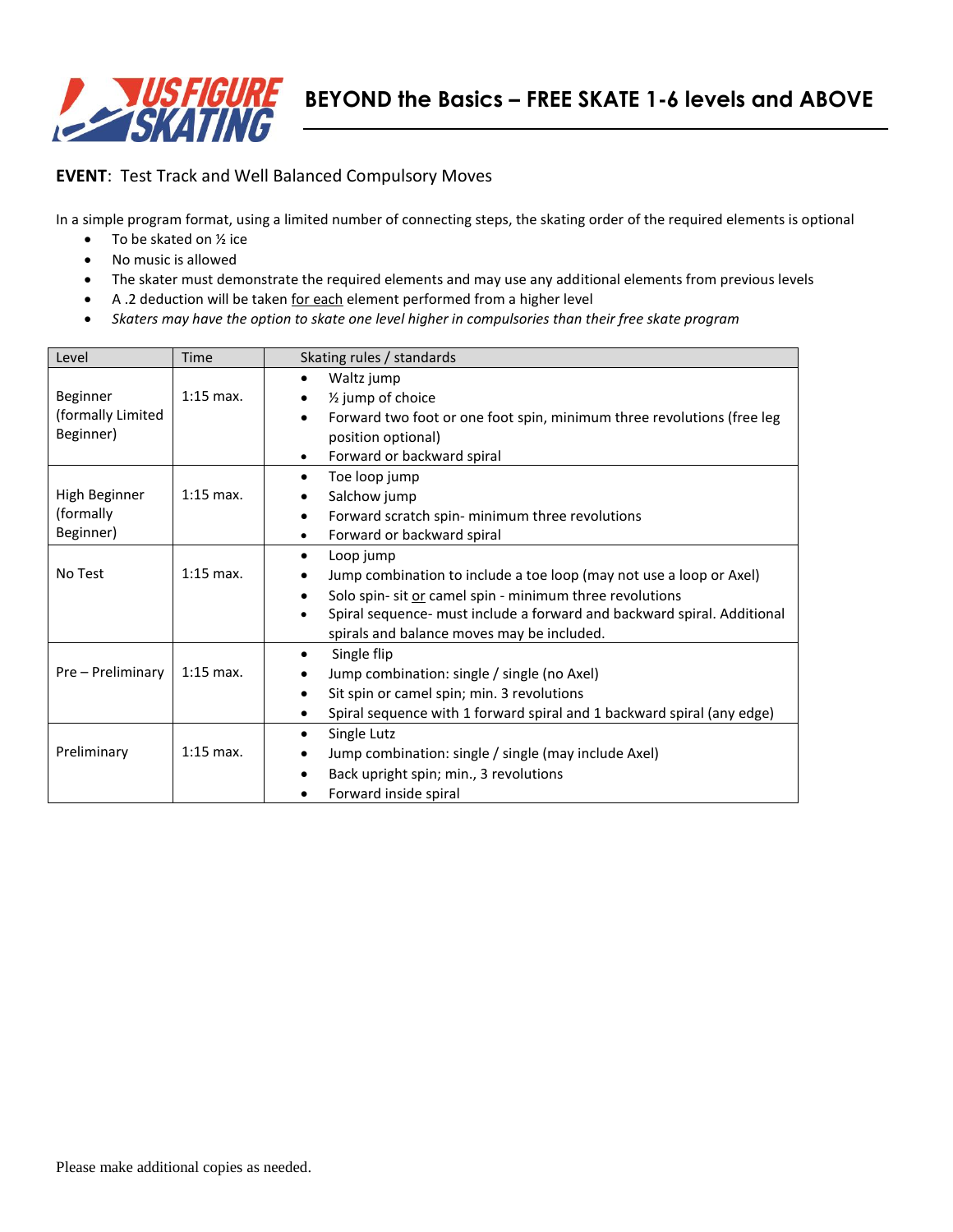

#### **EVENT**: Test Track and Well Balanced Compulsory Moves

In a simple program format, using a limited number of connecting steps, the skating order of the required elements is optional

- To be skated on 1/2 ice
- No music is allowed
- The skater must demonstrate the required elements and may use any additional elements from previous levels
- A .2 deduction will be taken for each element performed from a higher level
- *Skaters may have the option to skate one level higher in compulsories than their free skate program*

| Level             | <b>Time</b> | Skating rules / standards                                                            |  |  |
|-------------------|-------------|--------------------------------------------------------------------------------------|--|--|
|                   |             | Waltz jump                                                                           |  |  |
| Beginner          | $1:15$ max. | 1/ <sub>2</sub> jump of choice<br>٠                                                  |  |  |
| (formally Limited |             | Forward two foot or one foot spin, minimum three revolutions (free leg<br>$\bullet$  |  |  |
| Beginner)         |             | position optional)                                                                   |  |  |
|                   |             | Forward or backward spiral<br>٠                                                      |  |  |
|                   |             | Toe loop jump<br>٠                                                                   |  |  |
| High Beginner     | $1:15$ max. | Salchow jump<br>$\bullet$                                                            |  |  |
| (formally)        |             | Forward scratch spin- minimum three revolutions                                      |  |  |
| Beginner)         |             | Forward or backward spiral                                                           |  |  |
|                   |             | Loop jump<br>$\bullet$                                                               |  |  |
| No Test           | $1:15$ max. | Jump combination to include a toe loop (may not use a loop or Axel)<br>$\bullet$     |  |  |
|                   |             | Solo spin- sit or camel spin - minimum three revolutions                             |  |  |
|                   |             | Spiral sequence- must include a forward and backward spiral. Additional<br>$\bullet$ |  |  |
|                   |             | spirals and balance moves may be included.                                           |  |  |
|                   |             | Single flip<br>$\bullet$                                                             |  |  |
| Pre - Preliminary | $1:15$ max. | Jump combination: single / single (no Axel)                                          |  |  |
|                   |             | Sit spin or camel spin; min. 3 revolutions<br>$\bullet$                              |  |  |
|                   |             | Spiral sequence with 1 forward spiral and 1 backward spiral (any edge)               |  |  |
|                   |             | Single Lutz<br>$\bullet$                                                             |  |  |
| Preliminary       | $1:15$ max. | Jump combination: single / single (may include Axel)<br>$\bullet$                    |  |  |
|                   |             | Back upright spin; min., 3 revolutions                                               |  |  |
|                   |             | Forward inside spiral                                                                |  |  |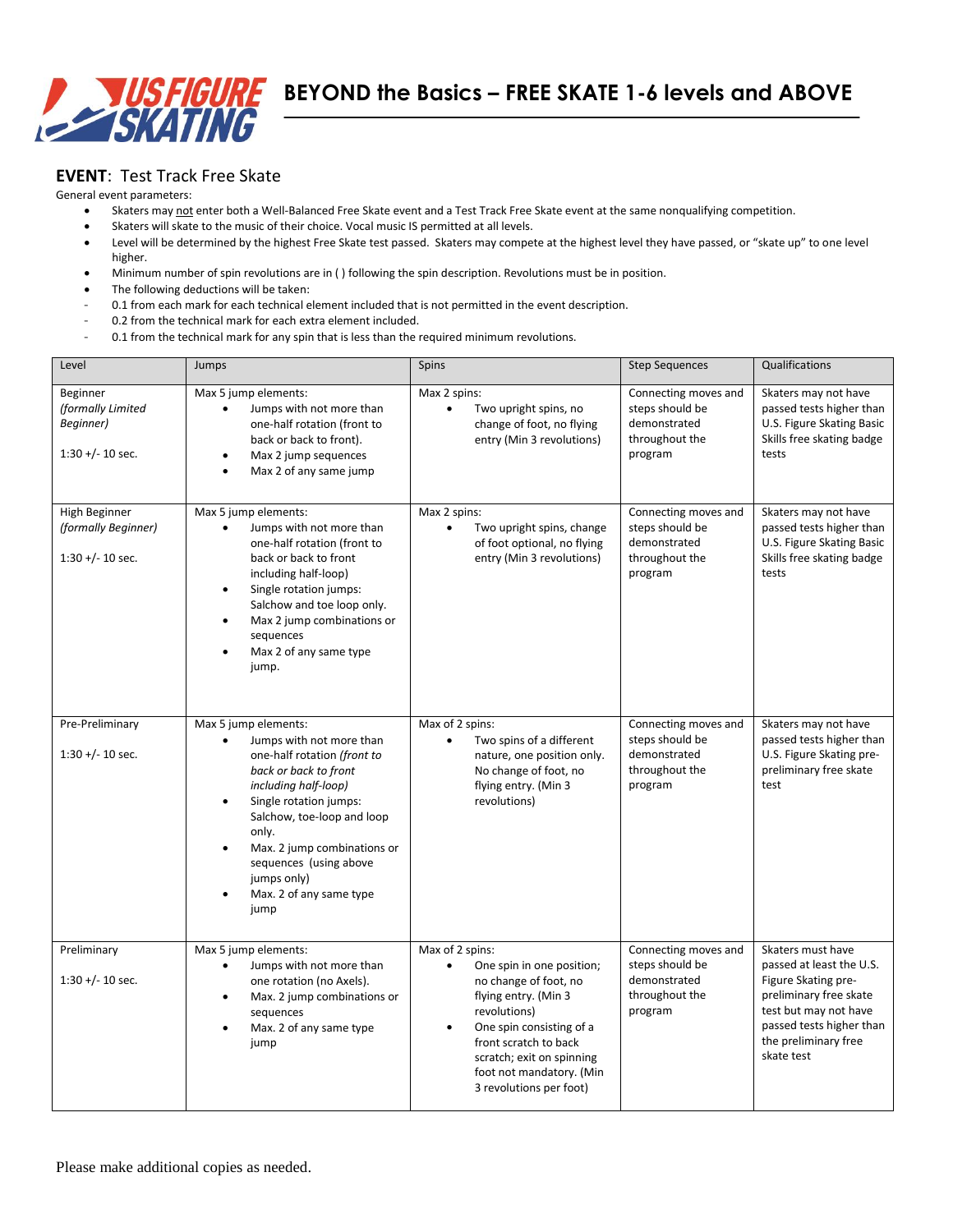

#### **EVENT**: Test Track Free Skate

General event parameters:

- Skaters may not enter both a Well-Balanced Free Skate event and a Test Track Free Skate event at the same nonqualifying competition.
- Skaters will skate to the music of their choice. Vocal music IS permitted at all levels.
- Level will be determined by the highest Free Skate test passed. Skaters may compete at the highest level they have passed, or "skate up" to one level higher.
- Minimum number of spin revolutions are in ( ) following the spin description. Revolutions must be in position.
- The following deductions will be taken:
- 0.1 from each mark for each technical element included that is not permitted in the event description.
- 0.2 from the technical mark for each extra element included.
- 0.1 from the technical mark for any spin that is less than the required minimum revolutions.

| Level                                                                     | Jumps                                                                                                                                                                                                                                                                                                                                                            | Spins                                                                                                                                                                                                                                                                            | <b>Step Sequences</b>                                                                | Qualifications                                                                                                                                                                            |
|---------------------------------------------------------------------------|------------------------------------------------------------------------------------------------------------------------------------------------------------------------------------------------------------------------------------------------------------------------------------------------------------------------------------------------------------------|----------------------------------------------------------------------------------------------------------------------------------------------------------------------------------------------------------------------------------------------------------------------------------|--------------------------------------------------------------------------------------|-------------------------------------------------------------------------------------------------------------------------------------------------------------------------------------------|
| Beginner<br>(formally Limited<br>Beginner)<br>$1:30 + (-10 \text{ sec.})$ | Max 5 jump elements:<br>Jumps with not more than<br>$\bullet$<br>one-half rotation (front to<br>back or back to front).<br>Max 2 jump sequences<br>٠<br>Max 2 of any same jump<br>$\bullet$                                                                                                                                                                      | Max 2 spins:<br>$\bullet$<br>Two upright spins, no<br>change of foot, no flying<br>entry (Min 3 revolutions)                                                                                                                                                                     | Connecting moves and<br>steps should be<br>demonstrated<br>throughout the<br>program | Skaters may not have<br>passed tests higher than<br>U.S. Figure Skating Basic<br>Skills free skating badge<br>tests                                                                       |
| High Beginner<br>(formally Beginner)<br>$1:30 +/- 10$ sec.                | Max 5 jump elements:<br>Jumps with not more than<br>$\bullet$<br>one-half rotation (front to<br>back or back to front<br>including half-loop)<br>Single rotation jumps:<br>$\bullet$<br>Salchow and toe loop only.<br>Max 2 jump combinations or<br>$\bullet$<br>sequences<br>Max 2 of any same type<br>$\bullet$<br>jump.                                       | Max 2 spins:<br>Two upright spins, change<br>$\bullet$<br>of foot optional, no flying<br>entry (Min 3 revolutions)                                                                                                                                                               | Connecting moves and<br>steps should be<br>demonstrated<br>throughout the<br>program | Skaters may not have<br>passed tests higher than<br>U.S. Figure Skating Basic<br>Skills free skating badge<br>tests                                                                       |
| Pre-Preliminary<br>$1:30 +/- 10$ sec.                                     | Max 5 jump elements:<br>Jumps with not more than<br>$\bullet$<br>one-half rotation (front to<br>back or back to front<br>including half-loop)<br>Single rotation jumps:<br>$\bullet$<br>Salchow, toe-loop and loop<br>only.<br>Max. 2 jump combinations or<br>$\bullet$<br>sequences (using above<br>jumps only)<br>Max. 2 of any same type<br>$\bullet$<br>jump | Max of 2 spins:<br>$\bullet$<br>Two spins of a different<br>nature, one position only.<br>No change of foot, no<br>flying entry. (Min 3<br>revolutions)                                                                                                                          | Connecting moves and<br>steps should be<br>demonstrated<br>throughout the<br>program | Skaters may not have<br>passed tests higher than<br>U.S. Figure Skating pre-<br>preliminary free skate<br>test                                                                            |
| Preliminary<br>$1:30 + (-10 \text{ sec.})$                                | Max 5 jump elements:<br>Jumps with not more than<br>$\bullet$<br>one rotation (no Axels).<br>Max. 2 jump combinations or<br>$\bullet$<br>sequences<br>Max. 2 of any same type<br>$\bullet$<br>jump                                                                                                                                                               | Max of 2 spins:<br>$\bullet$<br>One spin in one position;<br>no change of foot, no<br>flying entry. (Min 3<br>revolutions)<br>One spin consisting of a<br>$\bullet$<br>front scratch to back<br>scratch; exit on spinning<br>foot not mandatory. (Min<br>3 revolutions per foot) | Connecting moves and<br>steps should be<br>demonstrated<br>throughout the<br>program | Skaters must have<br>passed at least the U.S.<br>Figure Skating pre-<br>preliminary free skate<br>test but may not have<br>passed tests higher than<br>the preliminary free<br>skate test |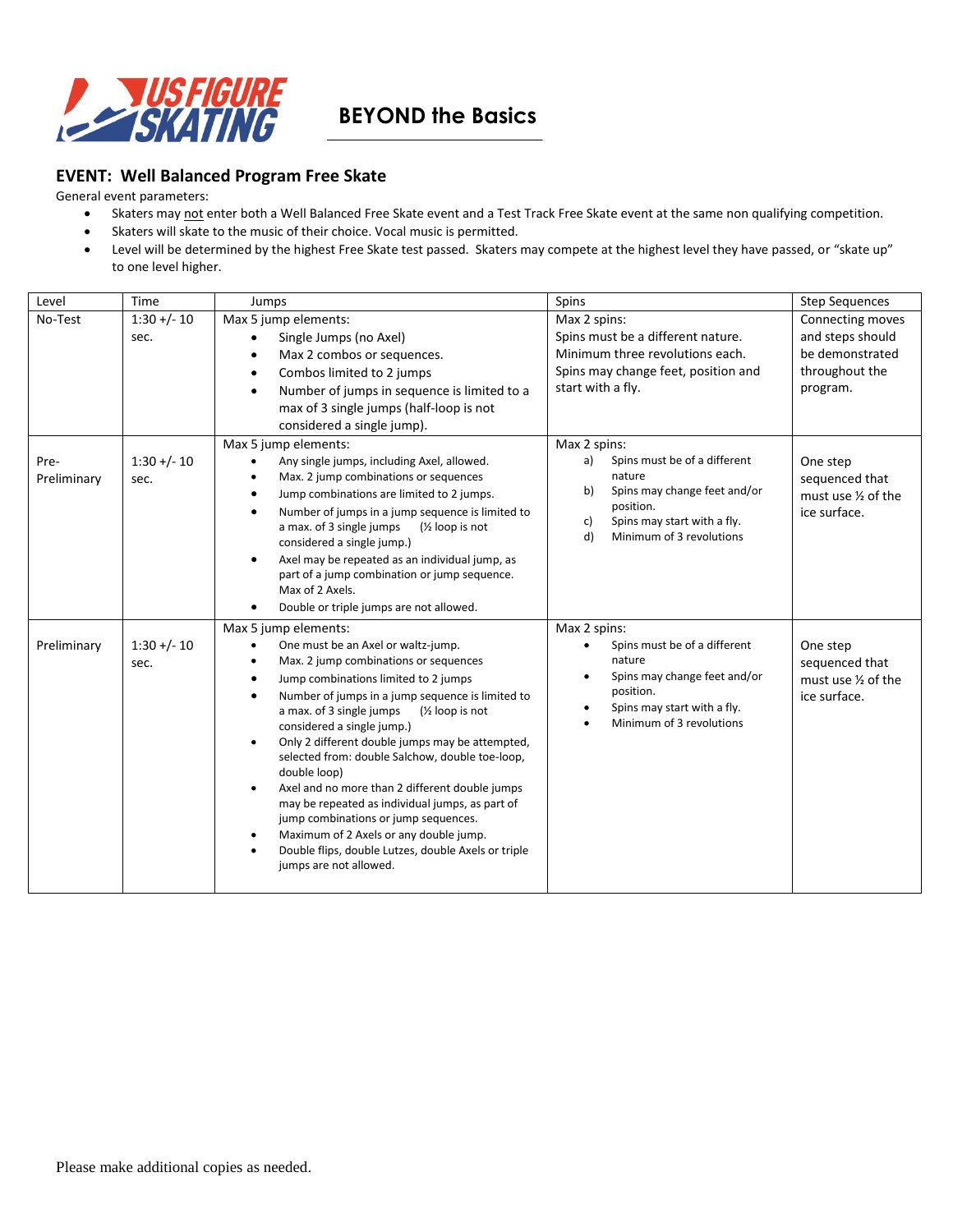

### **BEYOND the Basics**

#### **EVENT: Well Balanced Program Free Skate**

General event parameters:

- Skaters may not enter both a Well Balanced Free Skate event and a Test Track Free Skate event at the same non qualifying competition.
- Skaters will skate to the music of their choice. Vocal music is permitted.
- Level will be determined by the highest Free Skate test passed. Skaters may compete at the highest level they have passed, or "skate up" to one level higher.

| Level               | Time                   | Jumps                                                                                                                                                                                                                                                                                                                                                                                                                                                                                                                                                                                                                                                                                                                                              | Spins                                                                                                                                                                                  | <b>Step Sequences</b>                                                                 |
|---------------------|------------------------|----------------------------------------------------------------------------------------------------------------------------------------------------------------------------------------------------------------------------------------------------------------------------------------------------------------------------------------------------------------------------------------------------------------------------------------------------------------------------------------------------------------------------------------------------------------------------------------------------------------------------------------------------------------------------------------------------------------------------------------------------|----------------------------------------------------------------------------------------------------------------------------------------------------------------------------------------|---------------------------------------------------------------------------------------|
| No-Test             | $1:30 + (-10)$<br>sec. | Max 5 jump elements:<br>Single Jumps (no Axel)<br>Max 2 combos or sequences.<br>$\bullet$<br>Combos limited to 2 jumps<br>$\bullet$<br>Number of jumps in sequence is limited to a<br>$\bullet$<br>max of 3 single jumps (half-loop is not<br>considered a single jump).                                                                                                                                                                                                                                                                                                                                                                                                                                                                           | Max 2 spins:<br>Spins must be a different nature.<br>Minimum three revolutions each.<br>Spins may change feet, position and<br>start with a fly.                                       | Connecting moves<br>and steps should<br>be demonstrated<br>throughout the<br>program. |
| Pre-<br>Preliminary | $1:30 +/- 10$<br>sec.  | Max 5 jump elements:<br>Any single jumps, including Axel, allowed.<br>Max. 2 jump combinations or sequences<br>Jump combinations are limited to 2 jumps.<br>٠<br>Number of jumps in a jump sequence is limited to<br>$\bullet$<br>a max. of 3 single jumps<br>$\frac{1}{2}$ loop is not<br>considered a single jump.)<br>Axel may be repeated as an individual jump, as<br>part of a jump combination or jump sequence.<br>Max of 2 Axels.<br>Double or triple jumps are not allowed.                                                                                                                                                                                                                                                              | Max 2 spins:<br>Spins must be of a different<br>a)<br>nature<br>Spins may change feet and/or<br>b)<br>position.<br>Spins may start with a fly.<br>C)<br>Minimum of 3 revolutions<br>d) | One step<br>sequenced that<br>must use 1/2 of the<br>ice surface.                     |
| Preliminary         | $1:30 +/- 10$<br>sec.  | Max 5 jump elements:<br>One must be an Axel or waltz-jump.<br>$\bullet$<br>Max. 2 jump combinations or sequences<br>$\bullet$<br>Jump combinations limited to 2 jumps<br>٠<br>Number of jumps in a jump sequence is limited to<br>٠<br>a max. of 3 single jumps<br>$\frac{1}{2}$ loop is not<br>considered a single jump.)<br>Only 2 different double jumps may be attempted,<br>selected from: double Salchow, double toe-loop,<br>double loop)<br>Axel and no more than 2 different double jumps<br>$\bullet$<br>may be repeated as individual jumps, as part of<br>jump combinations or jump sequences.<br>Maximum of 2 Axels or any double jump.<br>Double flips, double Lutzes, double Axels or triple<br>$\bullet$<br>jumps are not allowed. | Max 2 spins:<br>Spins must be of a different<br>nature<br>Spins may change feet and/or<br>position.<br>Spins may start with a fly.<br>Minimum of 3 revolutions                         | One step<br>sequenced that<br>must use 1/2 of the<br>ice surface.                     |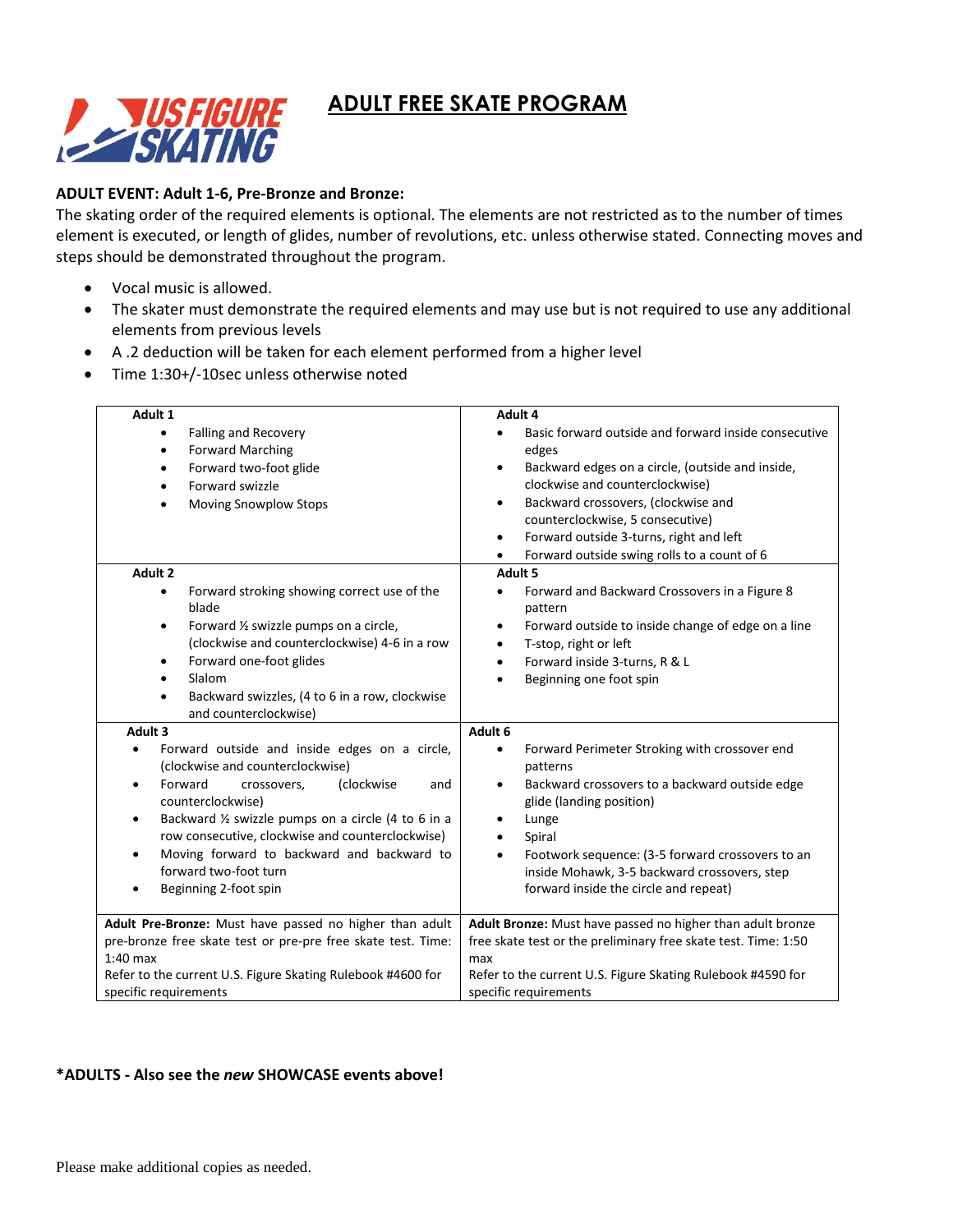## **ADULT FREE SKATE PROGRAM**



#### **ADULT EVENT: Adult 1-6, Pre-Bronze and Bronze:**

The skating order of the required elements is optional. The elements are not restricted as to the number of times element is executed, or length of glides, number of revolutions, etc. unless otherwise stated. Connecting moves and steps should be demonstrated throughout the program.

- Vocal music is allowed.
- The skater must demonstrate the required elements and may use but is not required to use any additional elements from previous levels
- A .2 deduction will be taken for each element performed from a higher level
- Time 1:30+/-10sec unless otherwise noted

| Adult 1                                                           | Adult 4                                                               |  |
|-------------------------------------------------------------------|-----------------------------------------------------------------------|--|
| Falling and Recovery<br>$\bullet$                                 | Basic forward outside and forward inside consecutive                  |  |
| <b>Forward Marching</b><br>$\bullet$                              | edges                                                                 |  |
| Forward two-foot glide<br>٠                                       | Backward edges on a circle, (outside and inside,<br>$\bullet$         |  |
| Forward swizzle<br>$\bullet$                                      | clockwise and counterclockwise)                                       |  |
| <b>Moving Snowplow Stops</b><br>$\bullet$                         | Backward crossovers, (clockwise and<br>$\bullet$                      |  |
|                                                                   | counterclockwise, 5 consecutive)                                      |  |
|                                                                   | Forward outside 3-turns, right and left<br>$\bullet$                  |  |
|                                                                   | Forward outside swing rolls to a count of 6<br>$\bullet$              |  |
| Adult 2                                                           | Adult 5                                                               |  |
| Forward stroking showing correct use of the<br>$\bullet$<br>blade | Forward and Backward Crossovers in a Figure 8<br>$\bullet$<br>pattern |  |
| Forward 1/2 swizzle pumps on a circle,<br>$\bullet$               | Forward outside to inside change of edge on a line<br>$\bullet$       |  |
| (clockwise and counterclockwise) 4-6 in a row                     | T-stop, right or left<br>$\bullet$                                    |  |
| Forward one-foot glides<br>$\bullet$                              | Forward inside 3-turns, R & L<br>$\bullet$                            |  |
| Slalom<br>$\bullet$                                               | Beginning one foot spin<br>$\bullet$                                  |  |
| Backward swizzles, (4 to 6 in a row, clockwise<br>$\bullet$       |                                                                       |  |
| and counterclockwise)                                             |                                                                       |  |
| Adult <sub>3</sub>                                                | Adult 6                                                               |  |
| Forward outside and inside edges on a circle,                     | Forward Perimeter Stroking with crossover end<br>$\bullet$            |  |
| (clockwise and counterclockwise)                                  | patterns                                                              |  |
| Forward<br>(clockwise<br>crossovers,<br>and<br>$\bullet$          | Backward crossovers to a backward outside edge<br>$\bullet$           |  |
| counterclockwise)                                                 | glide (landing position)                                              |  |
| Backward 1/2 swizzle pumps on a circle (4 to 6 in a<br>$\bullet$  | Lunge<br>$\bullet$                                                    |  |
| row consecutive, clockwise and counterclockwise)                  | Spiral<br>$\bullet$                                                   |  |
| Moving forward to backward and backward to<br>٠                   | Footwork sequence: (3-5 forward crossovers to an<br>$\bullet$         |  |
| forward two-foot turn                                             | inside Mohawk, 3-5 backward crossovers, step                          |  |
| Beginning 2-foot spin<br>$\bullet$                                | forward inside the circle and repeat)                                 |  |
|                                                                   |                                                                       |  |
| Adult Pre-Bronze: Must have passed no higher than adult           | Adult Bronze: Must have passed no higher than adult bronze            |  |
| pre-bronze free skate test or pre-pre free skate test. Time:      | free skate test or the preliminary free skate test. Time: 1:50        |  |
| $1:40$ max                                                        | max                                                                   |  |
| Refer to the current U.S. Figure Skating Rulebook #4600 for       | Refer to the current U.S. Figure Skating Rulebook #4590 for           |  |
| specific requirements                                             | specific requirements                                                 |  |

#### **\*ADULTS - Also see the** *new* **SHOWCASE events above!**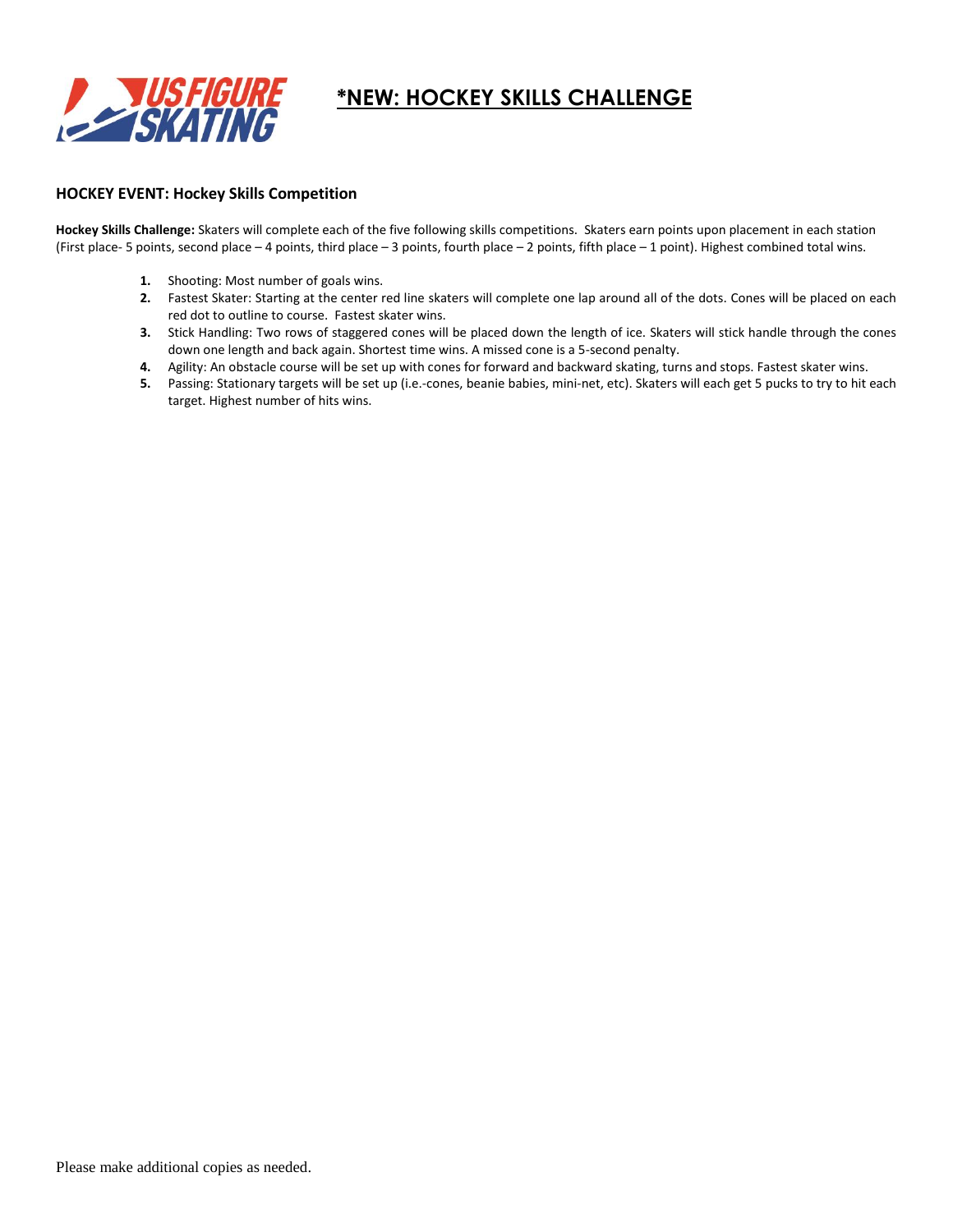

# **\*NEW: HOCKEY SKILLS CHALLENGE**

#### **HOCKEY EVENT: Hockey Skills Competition**

**Hockey Skills Challenge:** Skaters will complete each of the five following skills competitions. Skaters earn points upon placement in each station (First place- 5 points, second place – 4 points, third place – 3 points, fourth place – 2 points, fifth place – 1 point). Highest combined total wins.

- **1.** Shooting: Most number of goals wins.
- **2.** Fastest Skater: Starting at the center red line skaters will complete one lap around all of the dots. Cones will be placed on each red dot to outline to course. Fastest skater wins.
- **3.** Stick Handling: Two rows of staggered cones will be placed down the length of ice. Skaters will stick handle through the cones down one length and back again. Shortest time wins. A missed cone is a 5-second penalty.
- **4.** Agility: An obstacle course will be set up with cones for forward and backward skating, turns and stops. Fastest skater wins.
- **5.** Passing: Stationary targets will be set up (i.e.-cones, beanie babies, mini-net, etc). Skaters will each get 5 pucks to try to hit each target. Highest number of hits wins.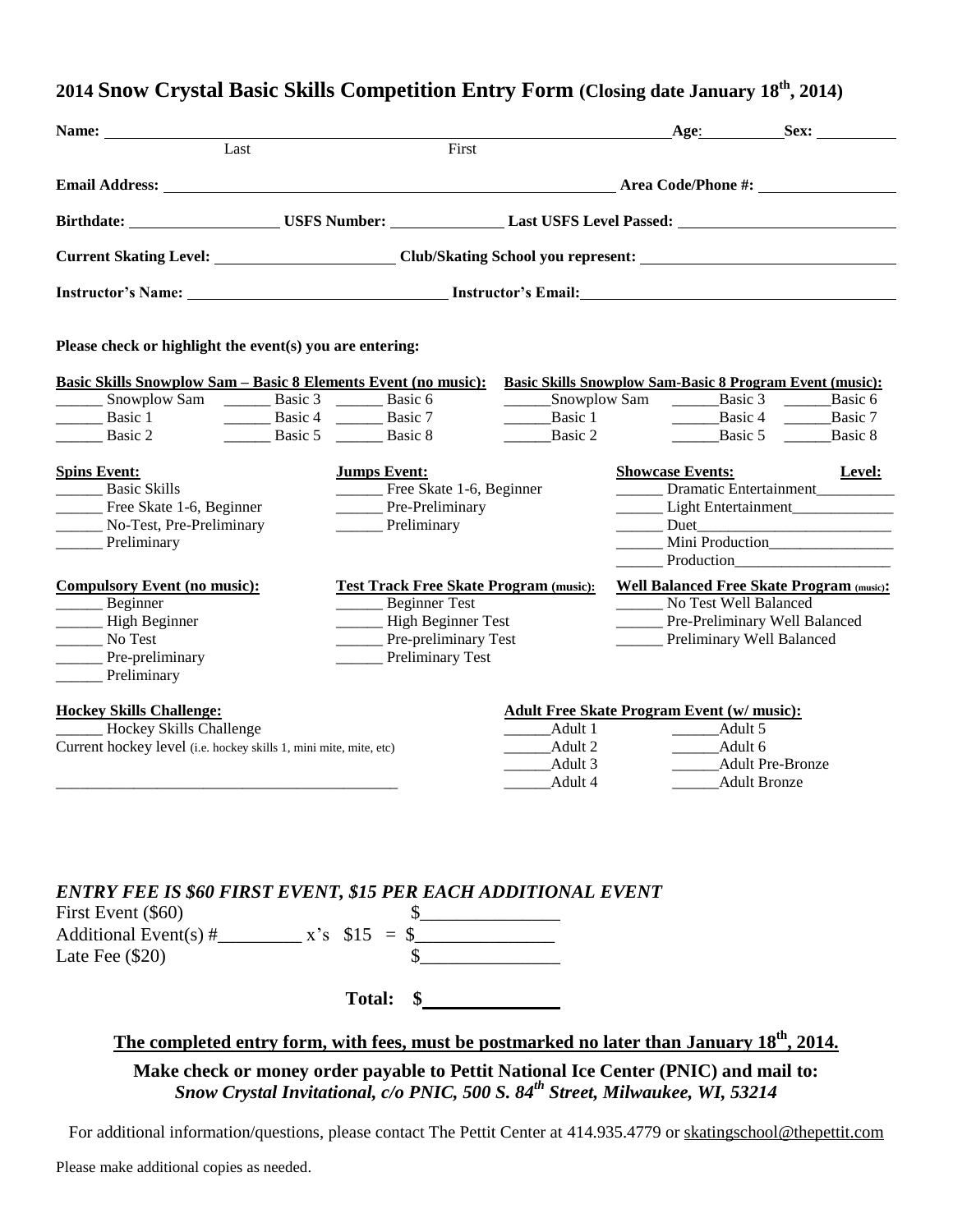### **2014 Snow Crystal Basic Skills Competition Entry Form (Closing date January 18 th, 2014)**

| Name:                                                                                                                                                              |                                                                                   |                                                                           |                                                                                                                                                                                                                                                                                                                                                                                                                                                                          | Age: Sex:                                                                                              |
|--------------------------------------------------------------------------------------------------------------------------------------------------------------------|-----------------------------------------------------------------------------------|---------------------------------------------------------------------------|--------------------------------------------------------------------------------------------------------------------------------------------------------------------------------------------------------------------------------------------------------------------------------------------------------------------------------------------------------------------------------------------------------------------------------------------------------------------------|--------------------------------------------------------------------------------------------------------|
| Last                                                                                                                                                               |                                                                                   | First                                                                     |                                                                                                                                                                                                                                                                                                                                                                                                                                                                          |                                                                                                        |
|                                                                                                                                                                    |                                                                                   |                                                                           |                                                                                                                                                                                                                                                                                                                                                                                                                                                                          |                                                                                                        |
| Birthdate: USFS Number: Last USFS Level Passed: USFS Level Passed:                                                                                                 |                                                                                   |                                                                           |                                                                                                                                                                                                                                                                                                                                                                                                                                                                          |                                                                                                        |
|                                                                                                                                                                    |                                                                                   |                                                                           |                                                                                                                                                                                                                                                                                                                                                                                                                                                                          |                                                                                                        |
|                                                                                                                                                                    |                                                                                   |                                                                           |                                                                                                                                                                                                                                                                                                                                                                                                                                                                          |                                                                                                        |
| Please check or highlight the event(s) you are entering:                                                                                                           |                                                                                   |                                                                           |                                                                                                                                                                                                                                                                                                                                                                                                                                                                          |                                                                                                        |
| <b>Basic Skills Snowplow Sam - Basic 8 Elements Event (no music):</b><br>________ Snowplow Sam _________ Basic 3 ________ Basic 6<br>Basic 1<br>Basic 2<br>Basic 5 | Basic 4 Basic 7<br>$\frac{\ }{\ }$ Basic 8                                        | Basic 1<br>Basic 2                                                        | ________Snowplow Sam ___________Basic 3 _______<br>$\frac{1}{1-\frac{1}{1-\frac{1}{1-\frac{1}{1-\frac{1}{1-\frac{1}{1-\frac{1}{1-\frac{1}{1-\frac{1}{1-\frac{1}{1-\frac{1}{1-\frac{1}{1-\frac{1}{1-\frac{1}{1-\frac{1}{1-\frac{1}{1-\frac{1}{1-\frac{1}{1-\frac{1}{1-\frac{1}{1-\frac{1}{1-\frac{1}{1-\frac{1}{1-\frac{1}{1-\frac{1}{1-\frac{1}{1-\frac{1}{1-\frac{1}{1-\frac{1}{1-\frac{1}{1-\frac{1}{1-\frac{1}{1-\frac{1}{1-\frac{1}{1-\frac{1}{1-\frac{1}{1-\frac{1$ | Basic Skills Snowplow Sam-Basic 8 Program Event (music):<br>Basic 6<br>Basic $5 \quad \_\_$<br>Basic 8 |
| <b>Spins Event:</b><br>Basic Skills<br>______ Free Skate 1-6, Beginner<br>_______ No-Test, Pre-Preliminary<br>Preliminary                                          | <b>Jumps Event:</b><br>Free Skate 1-6, Beginner<br>Pre-Preliminary<br>Preliminary |                                                                           | <b>Showcase Events:</b><br>Production                                                                                                                                                                                                                                                                                                                                                                                                                                    | Level:<br>Dramatic Entertainment<br>Light Entertainment<br>Mini Production                             |
| <b>Compulsory Event (no music):</b><br>Beginner<br>High Beginner<br>No Test<br>Pre-preliminary<br>Preliminary                                                      | Beginner Test<br>High Beginner Test<br>Pre-preliminary Test<br>Preliminary Test   | <b>Test Track Free Skate Program (music):</b>                             | No Test Well Balanced<br>Pre-Preliminary Well Balanced<br>Preliminary Well Balanced                                                                                                                                                                                                                                                                                                                                                                                      | <b>Well Balanced Free Skate Program (music):</b>                                                       |
| <b>Hockey Skills Challenge:</b><br>Hockey Skills Challenge<br>Current hockey level (i.e. hockey skills 1, mini mite, mite, etc)                                    |                                                                                   | $\frac{\phantom{1}}{2}$ Adult 1<br>_________Adult 2<br>Adult 3<br>Adult 4 | <b>Adult Free Skate Program Event (w/ music):</b><br>_____Adult 5<br>______Adult 6<br>Adult Bronze                                                                                                                                                                                                                                                                                                                                                                       | <b>Adult Pre-Bronze</b>                                                                                |
|                                                                                                                                                                    |                                                                                   |                                                                           |                                                                                                                                                                                                                                                                                                                                                                                                                                                                          |                                                                                                        |

#### *ENTRY FEE IS \$60 FIRST EVENT, \$15 PER EACH ADDITIONAL EVENT*   $First Event ($  $$60)$

| <b>FIFST EVENT (500)</b> |                 |  |
|--------------------------|-----------------|--|
| Additional Event(s) $#$  | $x's$ \$15 = \$ |  |
| Late Fee $(\$20)$        |                 |  |
|                          | <b>Total:</b>   |  |
|                          |                 |  |

### **The completed entry form, with fees, must be postmarked no later than January 18th, 2014.**

**Make check or money order payable to Pettit National Ice Center (PNIC) and mail to:** *Snow Crystal Invitational, c/o PNIC, 500 S. 84th Street, Milwaukee, WI, 53214*

For additional information/questions, please contact The Pettit Center at 414.935.4779 or [skatingschool@thepettit.com](mailto:skatingschool@thepettit.com)